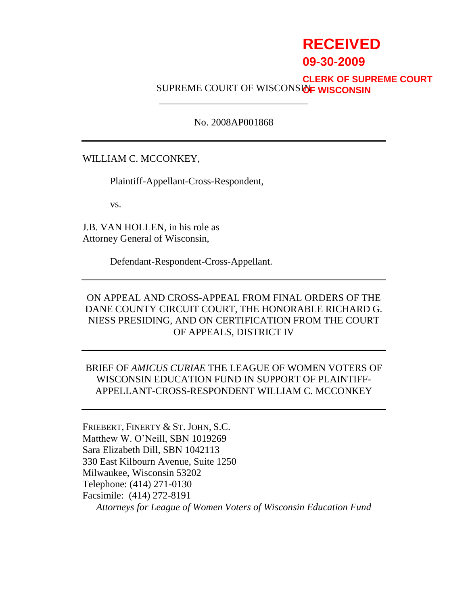# **RECEIVED**

# **09-30-2009**

# SUPREME COURT OF WISCONSI<mark>dF WISCONSIN</mark> **CLERK OF SUPREME COURT**

# No. 2008AP001868

\_\_\_\_\_\_\_\_\_\_\_\_\_\_\_\_\_\_\_\_\_\_\_\_\_\_\_\_\_\_

# WILLIAM C. MCCONKEY,

Plaintiff-Appellant-Cross-Respondent,

vs.

J.B. VAN HOLLEN, in his role as Attorney General of Wisconsin,

Defendant-Respondent-Cross-Appellant.

ON APPEAL AND CROSS-APPEAL FROM FINAL ORDERS OF THE DANE COUNTY CIRCUIT COURT, THE HONORABLE RICHARD G. NIESS PRESIDING, AND ON CERTIFICATION FROM THE COURT OF APPEALS, DISTRICT IV

# BRIEF OF *AMICUS CURIAE* THE LEAGUE OF WOMEN VOTERS OF WISCONSIN EDUCATION FUND IN SUPPORT OF PLAINTIFF-APPELLANT-CROSS-RESPONDENT WILLIAM C. MCCONKEY

FRIEBERT, FINERTY & ST. JOHN, S.C. Matthew W. O"Neill, SBN 1019269 Sara Elizabeth Dill, SBN 1042113 330 East Kilbourn Avenue, Suite 1250 Milwaukee, Wisconsin 53202 Telephone: (414) 271-0130 Facsimile: (414) 272-8191 *Attorneys for League of Women Voters of Wisconsin Education Fund*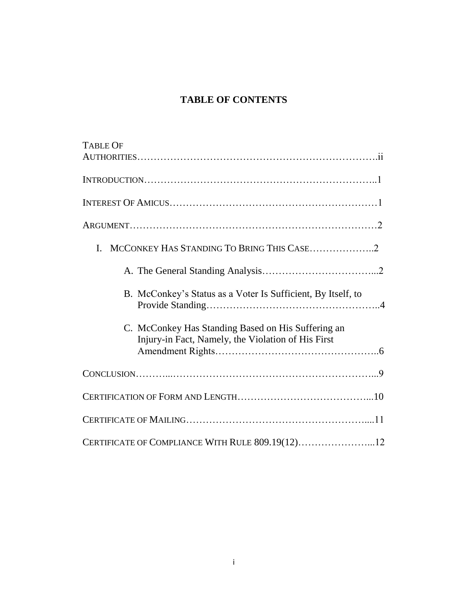# **TABLE OF CONTENTS**

| <b>TABLE OF</b>                                                                                          |  |
|----------------------------------------------------------------------------------------------------------|--|
|                                                                                                          |  |
|                                                                                                          |  |
|                                                                                                          |  |
|                                                                                                          |  |
| L.                                                                                                       |  |
|                                                                                                          |  |
| B. McConkey's Status as a Voter Is Sufficient, By Itself, to                                             |  |
| C. McConkey Has Standing Based on His Suffering an<br>Injury-in Fact, Namely, the Violation of His First |  |
|                                                                                                          |  |
|                                                                                                          |  |
|                                                                                                          |  |
| CERTIFICATE OF COMPLIANCE WITH RULE 809.19(12)12                                                         |  |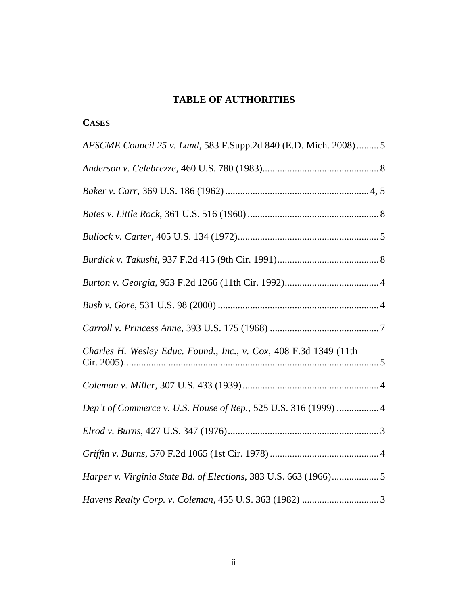# **TABLE OF AUTHORITIES**

**CASES**

| AFSCME Council 25 v. Land, 583 F.Supp.2d 840 (E.D. Mich. 2008)  5 |
|-------------------------------------------------------------------|
|                                                                   |
|                                                                   |
|                                                                   |
|                                                                   |
|                                                                   |
|                                                                   |
|                                                                   |
|                                                                   |
| Charles H. Wesley Educ. Found., Inc., v. Cox, 408 F.3d 1349 (11th |
|                                                                   |
| Dep't of Commerce v. U.S. House of Rep., 525 U.S. 316 (1999)  4   |
|                                                                   |
|                                                                   |
|                                                                   |
|                                                                   |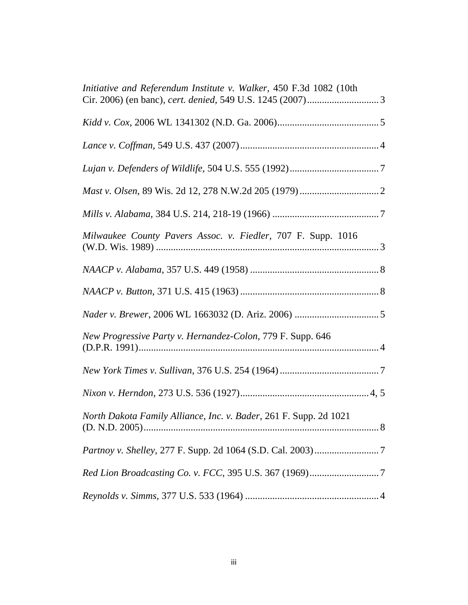| Initiative and Referendum Institute v. Walker, 450 F.3d 1082 (10th |
|--------------------------------------------------------------------|
|                                                                    |
|                                                                    |
|                                                                    |
|                                                                    |
|                                                                    |
| Milwaukee County Pavers Assoc. v. Fiedler, 707 F. Supp. 1016       |
|                                                                    |
|                                                                    |
|                                                                    |
| New Progressive Party v. Hernandez-Colon, 779 F. Supp. 646         |
|                                                                    |
|                                                                    |
| North Dakota Family Alliance, Inc. v. Bader, 261 F. Supp. 2d 1021  |
|                                                                    |
|                                                                    |
|                                                                    |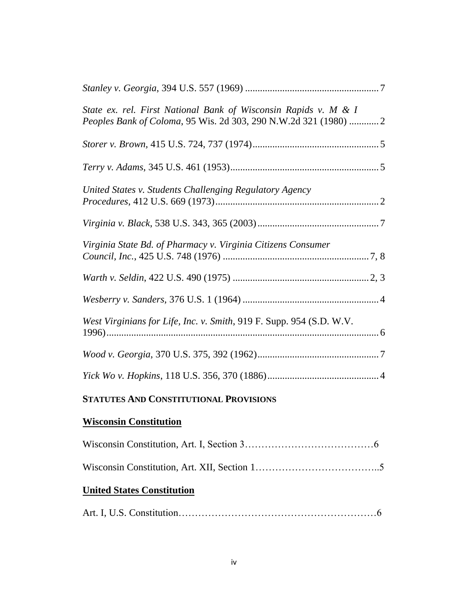| State ex. rel. First National Bank of Wisconsin Rapids v. M & I<br>Peoples Bank of Coloma, 95 Wis. 2d 303, 290 N.W.2d 321 (1980)  2 |  |
|-------------------------------------------------------------------------------------------------------------------------------------|--|
|                                                                                                                                     |  |
|                                                                                                                                     |  |
| United States v. Students Challenging Regulatory Agency                                                                             |  |
|                                                                                                                                     |  |
| Virginia State Bd. of Pharmacy v. Virginia Citizens Consumer                                                                        |  |
|                                                                                                                                     |  |
|                                                                                                                                     |  |
| West Virginians for Life, Inc. v. Smith, 919 F. Supp. 954 (S.D. W.V.                                                                |  |
|                                                                                                                                     |  |
|                                                                                                                                     |  |
| <b>STATUTES AND CONSTITUTIONAL PROVISIONS</b>                                                                                       |  |
| <b>Wisconsin Constitution</b>                                                                                                       |  |
|                                                                                                                                     |  |
|                                                                                                                                     |  |
| <b>United States Constitution</b>                                                                                                   |  |

|--|--|--|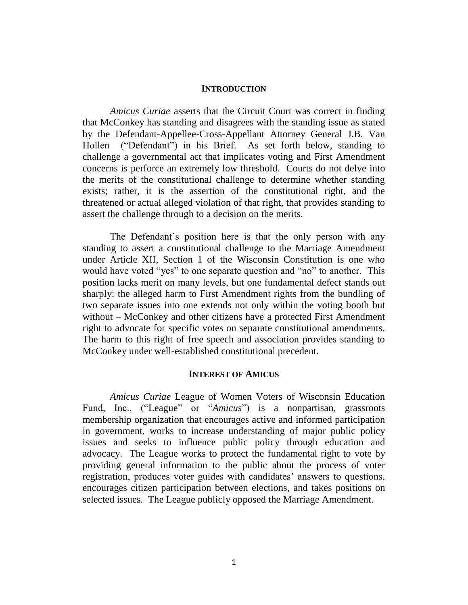#### **INTRODUCTION**

*Amicus Curiae* asserts that the Circuit Court was correct in finding that McConkey has standing and disagrees with the standing issue as stated by the Defendant-Appellee-Cross-Appellant Attorney General J.B. Van Hollen ("Defendant") in his Brief. As set forth below, standing to challenge a governmental act that implicates voting and First Amendment concerns is perforce an extremely low threshold. Courts do not delve into the merits of the constitutional challenge to determine whether standing exists; rather, it is the assertion of the constitutional right, and the threatened or actual alleged violation of that right, that provides standing to assert the challenge through to a decision on the merits.

The Defendant's position here is that the only person with any standing to assert a constitutional challenge to the Marriage Amendment under Article XII, Section 1 of the Wisconsin Constitution is one who would have voted "yes" to one separate question and "no" to another. This position lacks merit on many levels, but one fundamental defect stands out sharply: the alleged harm to First Amendment rights from the bundling of two separate issues into one extends not only within the voting booth but without – McConkey and other citizens have a protected First Amendment right to advocate for specific votes on separate constitutional amendments. The harm to this right of free speech and association provides standing to McConkey under well-established constitutional precedent.

#### **INTEREST OF AMICUS**

*Amicus Curiae* League of Women Voters of Wisconsin Education Fund, Inc., ("League" or "*Amicus*") is a nonpartisan, grassroots membership organization that encourages active and informed participation in government, works to increase understanding of major public policy issues and seeks to influence public policy through education and advocacy. The League works to protect the fundamental right to vote by providing general information to the public about the process of voter registration, produces voter guides with candidates' answers to questions, encourages citizen participation between elections, and takes positions on selected issues. The League publicly opposed the Marriage Amendment.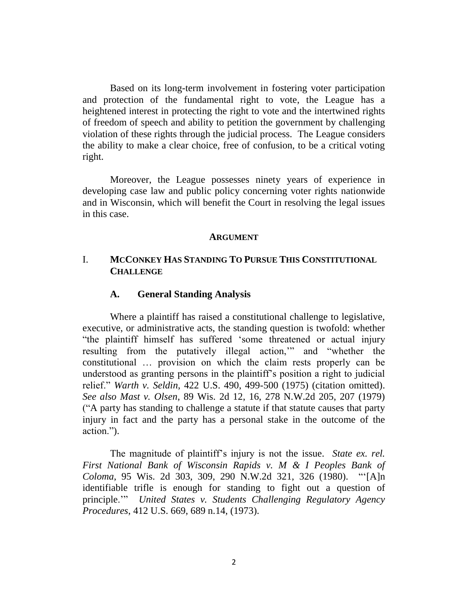Based on its long-term involvement in fostering voter participation and protection of the fundamental right to vote, the League has a heightened interest in protecting the right to vote and the intertwined rights of freedom of speech and ability to petition the government by challenging violation of these rights through the judicial process. The League considers the ability to make a clear choice, free of confusion, to be a critical voting right.

Moreover, the League possesses ninety years of experience in developing case law and public policy concerning voter rights nationwide and in Wisconsin, which will benefit the Court in resolving the legal issues in this case.

#### **ARGUMENT**

# I. **MCCONKEY HAS STANDING TO PURSUE THIS CONSTITUTIONAL CHALLENGE**

#### **A. General Standing Analysis**

Where a plaintiff has raised a constitutional challenge to legislative, executive, or administrative acts, the standing question is twofold: whether "the plaintiff himself has suffered "some threatened or actual injury resulting from the putatively illegal action,"" and "whether the constitutional … provision on which the claim rests properly can be understood as granting persons in the plaintiff"s position a right to judicial relief." *Warth v. Seldin*, 422 U.S. 490, 499-500 (1975) (citation omitted). *See also Mast v. Olsen*, 89 Wis. 2d 12, 16, 278 N.W.2d 205, 207 (1979) ("A party has standing to challenge a statute if that statute causes that party injury in fact and the party has a personal stake in the outcome of the action.").

The magnitude of plaintiff"s injury is not the issue. *State ex. rel. First National Bank of Wisconsin Rapids v. M & I Peoples Bank of Coloma*, 95 Wis. 2d 303, 309, 290 N.W.2d 321, 326 (1980). ""[A]n identifiable trifle is enough for standing to fight out a question of principle."" *United States v. Students Challenging Regulatory Agency Procedures*, 412 U.S. 669, 689 n.14, (1973).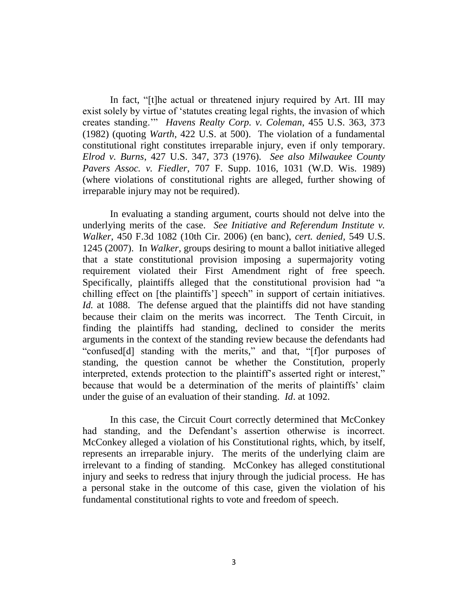In fact, "[t]he actual or threatened injury required by Art. III may exist solely by virtue of "statutes creating legal rights, the invasion of which creates standing."" *Havens Realty Corp. v. Coleman*, 455 U.S. 363, 373 (1982) (quoting *Warth*, 422 U.S. at 500). The violation of a fundamental constitutional right constitutes irreparable injury, even if only temporary. *Elrod v. Burns*, 427 U.S. 347, 373 (1976). *See also Milwaukee County Pavers Assoc. v. Fiedler*, 707 F. Supp. 1016, 1031 (W.D. Wis. 1989) (where violations of constitutional rights are alleged, further showing of irreparable injury may not be required).

In evaluating a standing argument, courts should not delve into the underlying merits of the case. *See Initiative and Referendum Institute v. Walker*, 450 F.3d 1082 (10th Cir. 2006) (en banc), *cert. denied,* 549 U.S. 1245 (2007). In *Walker*, groups desiring to mount a ballot initiative alleged that a state constitutional provision imposing a supermajority voting requirement violated their First Amendment right of free speech. Specifically, plaintiffs alleged that the constitutional provision had "a chilling effect on [the plaintiffs"] speech" in support of certain initiatives. *Id.* at 1088. The defense argued that the plaintiffs did not have standing because their claim on the merits was incorrect. The Tenth Circuit, in finding the plaintiffs had standing, declined to consider the merits arguments in the context of the standing review because the defendants had "confused[d] standing with the merits," and that, "[f]or purposes of standing, the question cannot be whether the Constitution, properly interpreted, extends protection to the plaintiff"s asserted right or interest," because that would be a determination of the merits of plaintiffs" claim under the guise of an evaluation of their standing. *Id*. at 1092.

In this case, the Circuit Court correctly determined that McConkey had standing, and the Defendant's assertion otherwise is incorrect. McConkey alleged a violation of his Constitutional rights, which, by itself, represents an irreparable injury. The merits of the underlying claim are irrelevant to a finding of standing. McConkey has alleged constitutional injury and seeks to redress that injury through the judicial process. He has a personal stake in the outcome of this case, given the violation of his fundamental constitutional rights to vote and freedom of speech.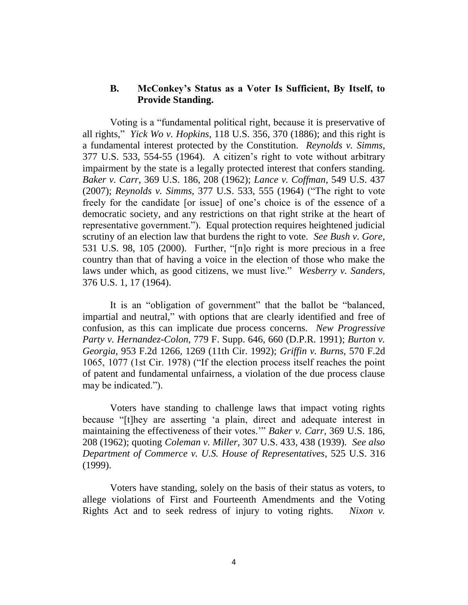# **B. McConkey's Status as a Voter Is Sufficient, By Itself, to Provide Standing.**

Voting is a "fundamental political right, because it is preservative of all rights," *Yick Wo v. Hopkins*, 118 U.S. 356, 370 (1886); and this right is a fundamental interest protected by the Constitution. *Reynolds v. Simms*, 377 U.S. 533, 554-55 (1964). A citizen"s right to vote without arbitrary impairment by the state is a legally protected interest that confers standing. *Baker v. Carr*, 369 U.S. 186, 208 (1962); *Lance v. Coffman,* 549 U.S. 437 (2007); *Reynolds v. Simms*, 377 U.S. 533, 555 (1964) ("The right to vote freely for the candidate [or issue] of one"s choice is of the essence of a democratic society, and any restrictions on that right strike at the heart of representative government."). Equal protection requires heightened judicial scrutiny of an election law that burdens the right to vote. *See Bush v. Gore*, 531 U.S. 98, 105 (2000). Further, "[n]o right is more precious in a free country than that of having a voice in the election of those who make the laws under which, as good citizens, we must live." *Wesberry v. Sanders,*  376 U.S. 1, 17 (1964).

It is an "obligation of government" that the ballot be "balanced, impartial and neutral," with options that are clearly identified and free of confusion, as this can implicate due process concerns. *New Progressive Party v. Hernandez-Colon*, 779 F. Supp. 646, 660 (D.P.R. 1991); *Burton v. Georgia*, 953 F.2d 1266, 1269 (11th Cir. 1992); *Griffin v. Burns,* 570 F.2d 1065, 1077 (1st Cir. 1978) ("If the election process itself reaches the point of patent and fundamental unfairness, a violation of the due process clause may be indicated.").

Voters have standing to challenge laws that impact voting rights because "[t]hey are asserting "a plain, direct and adequate interest in maintaining the effectiveness of their votes."" *Baker v. Carr*, 369 U.S. 186, 208 (1962); quoting *Coleman v. Miller*, 307 U.S. 433, 438 (1939). *See also Department of Commerce v. U.S. House of Representatives*, 525 U.S. 316 (1999).

Voters have standing, solely on the basis of their status as voters, to allege violations of First and Fourteenth Amendments and the Voting Rights Act and to seek redress of injury to voting rights. *Nixon v.*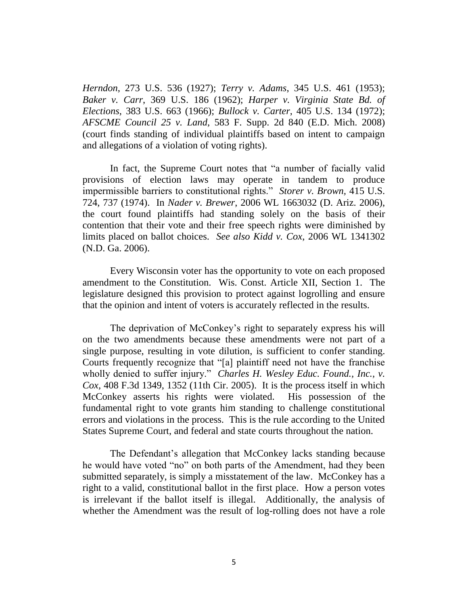*Herndon*, 273 U.S. 536 (1927); *Terry v. Adams*, 345 U.S. 461 (1953); *Baker v. Carr*, 369 U.S. 186 (1962); *Harper v. Virginia State Bd. of Elections*, 383 U.S. 663 (1966); *Bullock v. Carter*, 405 U.S. 134 (1972); *AFSCME Council 25 v. Land*, 583 F. Supp. 2d 840 (E.D. Mich. 2008) (court finds standing of individual plaintiffs based on intent to campaign and allegations of a violation of voting rights).

In fact, the Supreme Court notes that "a number of facially valid provisions of election laws may operate in tandem to produce impermissible barriers to constitutional rights." *Storer v. Brown,* 415 U.S. 724, 737 (1974). In *Nader v. Brewer*, 2006 WL 1663032 (D. Ariz. 2006), the court found plaintiffs had standing solely on the basis of their contention that their vote and their free speech rights were diminished by limits placed on ballot choices. *See also Kidd v. Cox*, 2006 WL 1341302 (N.D. Ga. 2006).

Every Wisconsin voter has the opportunity to vote on each proposed amendment to the Constitution. Wis. Const. Article XII, Section 1. The legislature designed this provision to protect against logrolling and ensure that the opinion and intent of voters is accurately reflected in the results.

The deprivation of McConkey's right to separately express his will on the two amendments because these amendments were not part of a single purpose, resulting in vote dilution, is sufficient to confer standing. Courts frequently recognize that "[a] plaintiff need not have the franchise wholly denied to suffer injury." *Charles H. Wesley Educ. Found., Inc., v. Cox,* 408 F.3d 1349, 1352 (11th Cir. 2005). It is the process itself in which McConkey asserts his rights were violated. His possession of the fundamental right to vote grants him standing to challenge constitutional errors and violations in the process. This is the rule according to the United States Supreme Court, and federal and state courts throughout the nation.

The Defendant's allegation that McConkey lacks standing because he would have voted "no" on both parts of the Amendment, had they been submitted separately, is simply a misstatement of the law. McConkey has a right to a valid, constitutional ballot in the first place. How a person votes is irrelevant if the ballot itself is illegal. Additionally, the analysis of whether the Amendment was the result of log-rolling does not have a role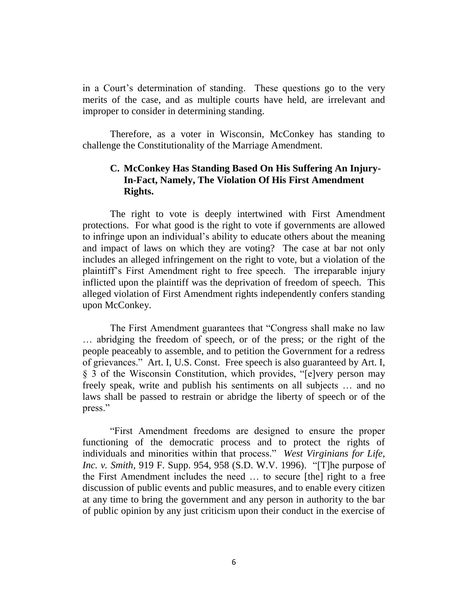in a Court's determination of standing. These questions go to the very merits of the case, and as multiple courts have held, are irrelevant and improper to consider in determining standing.

Therefore, as a voter in Wisconsin, McConkey has standing to challenge the Constitutionality of the Marriage Amendment.

# **C. McConkey Has Standing Based On His Suffering An Injury-In-Fact, Namely, The Violation Of His First Amendment Rights.**

The right to vote is deeply intertwined with First Amendment protections. For what good is the right to vote if governments are allowed to infringe upon an individual"s ability to educate others about the meaning and impact of laws on which they are voting? The case at bar not only includes an alleged infringement on the right to vote, but a violation of the plaintiff"s First Amendment right to free speech. The irreparable injury inflicted upon the plaintiff was the deprivation of freedom of speech. This alleged violation of First Amendment rights independently confers standing upon McConkey.

The First Amendment guarantees that "Congress shall make no law … abridging the freedom of speech, or of the press; or the right of the people peaceably to assemble, and to petition the Government for a redress of grievances." Art. I, U.S. Const. Free speech is also guaranteed by Art. I, § 3 of the Wisconsin Constitution, which provides, "[e]very person may freely speak, write and publish his sentiments on all subjects … and no laws shall be passed to restrain or abridge the liberty of speech or of the press."

"First Amendment freedoms are designed to ensure the proper functioning of the democratic process and to protect the rights of individuals and minorities within that process." *West Virginians for Life, Inc. v. Smith*, 919 F. Supp. 954, 958 (S.D. W.V. 1996). "[T]he purpose of the First Amendment includes the need … to secure [the] right to a free discussion of public events and public measures, and to enable every citizen at any time to bring the government and any person in authority to the bar of public opinion by any just criticism upon their conduct in the exercise of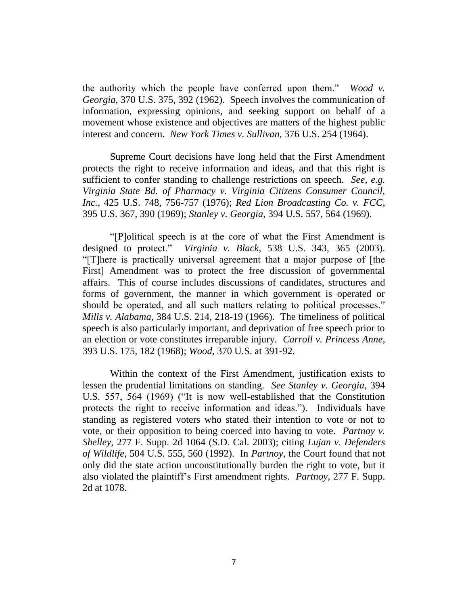the authority which the people have conferred upon them." *Wood v. Georgia*, 370 U.S. 375, 392 (1962). Speech involves the communication of information, expressing opinions, and seeking support on behalf of a movement whose existence and objectives are matters of the highest public interest and concern. *New York Times v. Sullivan*, 376 U.S. 254 (1964).

Supreme Court decisions have long held that the First Amendment protects the right to receive information and ideas, and that this right is sufficient to confer standing to challenge restrictions on speech. *See, e.g. Virginia State Bd. of Pharmacy v. Virginia Citizens Consumer Council, Inc.*, 425 U.S. 748, 756-757 (1976); *Red Lion Broadcasting Co. v. FCC*, 395 U.S. 367, 390 (1969); *Stanley v. Georgia*, 394 U.S. 557, 564 (1969).

"[P]olitical speech is at the core of what the First Amendment is designed to protect." *Virginia v. Black*, 538 U.S. 343, 365 (2003). "[T]here is practically universal agreement that a major purpose of [the First] Amendment was to protect the free discussion of governmental affairs. This of course includes discussions of candidates, structures and forms of government, the manner in which government is operated or should be operated, and all such matters relating to political processes." *Mills v. Alabama,* 384 U.S. 214, 218-19 (1966). The timeliness of political speech is also particularly important, and deprivation of free speech prior to an election or vote constitutes irreparable injury. *Carroll v. Princess Anne*, 393 U.S. 175, 182 (1968); *Wood*, 370 U.S. at 391-92.

Within the context of the First Amendment, justification exists to lessen the prudential limitations on standing. *See Stanley v. Georgia*, 394 U.S. 557, 564 (1969) ("It is now well-established that the Constitution protects the right to receive information and ideas."). Individuals have standing as registered voters who stated their intention to vote or not to vote, or their opposition to being coerced into having to vote. *Partnoy v. Shelley*, 277 F. Supp. 2d 1064 (S.D. Cal. 2003); citing *Lujan v. Defenders of Wildlife,* 504 U.S. 555, 560 (1992). In *Partnoy*, the Court found that not only did the state action unconstitutionally burden the right to vote, but it also violated the plaintiff"s First amendment rights. *Partnoy*, 277 F. Supp. 2d at 1078.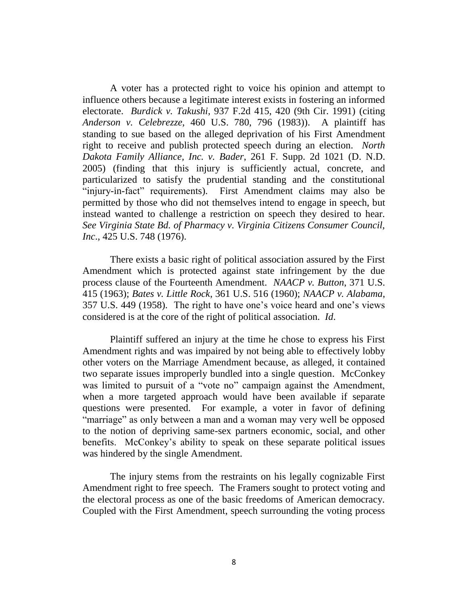A voter has a protected right to voice his opinion and attempt to influence others because a legitimate interest exists in fostering an informed electorate. *Burdick v. Takushi*, 937 F.2d 415, 420 (9th Cir. 1991) (citing *Anderson v. Celebrezze,* 460 U.S. 780, 796 (1983)). A plaintiff has standing to sue based on the alleged deprivation of his First Amendment right to receive and publish protected speech during an election. *North Dakota Family Alliance, Inc. v. Bader*, 261 F. Supp. 2d 1021 (D. N.D. 2005) (finding that this injury is sufficiently actual, concrete, and particularized to satisfy the prudential standing and the constitutional "injury-in-fact" requirements). First Amendment claims may also be permitted by those who did not themselves intend to engage in speech, but instead wanted to challenge a restriction on speech they desired to hear. *See Virginia State Bd. of Pharmacy v. Virginia Citizens Consumer Council, Inc*., 425 U.S. 748 (1976).

There exists a basic right of political association assured by the First Amendment which is protected against state infringement by the due process clause of the Fourteenth Amendment. *NAACP v. Button*, 371 U.S. 415 (1963); *Bates v. Little Rock*, 361 U.S. 516 (1960); *NAACP v. Alabama*, 357 U.S. 449 (1958). The right to have one"s voice heard and one"s views considered is at the core of the right of political association. *Id*.

Plaintiff suffered an injury at the time he chose to express his First Amendment rights and was impaired by not being able to effectively lobby other voters on the Marriage Amendment because, as alleged, it contained two separate issues improperly bundled into a single question. McConkey was limited to pursuit of a "vote no" campaign against the Amendment, when a more targeted approach would have been available if separate questions were presented. For example, a voter in favor of defining "marriage" as only between a man and a woman may very well be opposed to the notion of depriving same-sex partners economic, social, and other benefits. McConkey"s ability to speak on these separate political issues was hindered by the single Amendment.

The injury stems from the restraints on his legally cognizable First Amendment right to free speech. The Framers sought to protect voting and the electoral process as one of the basic freedoms of American democracy. Coupled with the First Amendment, speech surrounding the voting process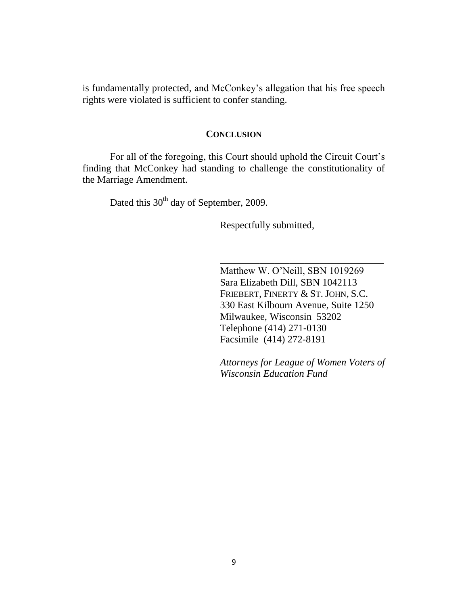is fundamentally protected, and McConkey's allegation that his free speech rights were violated is sufficient to confer standing.

## **CONCLUSION**

For all of the foregoing, this Court should uphold the Circuit Court's finding that McConkey had standing to challenge the constitutionality of the Marriage Amendment.

Dated this 30<sup>th</sup> day of September, 2009.

Respectfully submitted,

Matthew W. O"Neill, SBN 1019269 Sara Elizabeth Dill, SBN 1042113 FRIEBERT, FINERTY & ST. JOHN, S.C. 330 East Kilbourn Avenue, Suite 1250 Milwaukee, Wisconsin 53202 Telephone (414) 271-0130 Facsimile (414) 272-8191

\_\_\_\_\_\_\_\_\_\_\_\_\_\_\_\_\_\_\_\_\_\_\_\_\_\_\_\_\_\_\_\_\_

*Attorneys for League of Women Voters of Wisconsin Education Fund*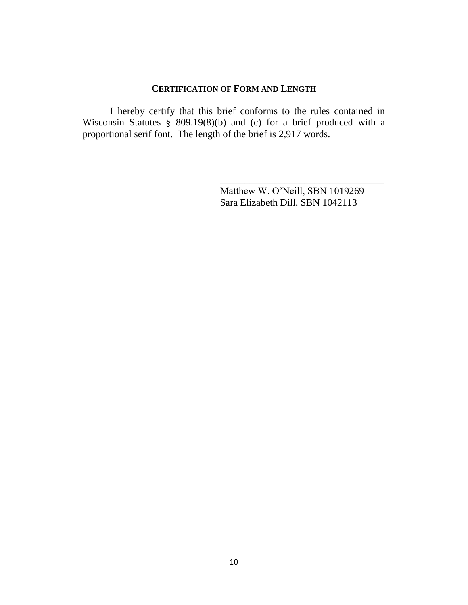## **CERTIFICATION OF FORM AND LENGTH**

I hereby certify that this brief conforms to the rules contained in Wisconsin Statutes § 809.19(8)(b) and (c) for a brief produced with a proportional serif font. The length of the brief is 2,917 words.

> Matthew W. O"Neill, SBN 1019269 Sara Elizabeth Dill, SBN 1042113

\_\_\_\_\_\_\_\_\_\_\_\_\_\_\_\_\_\_\_\_\_\_\_\_\_\_\_\_\_\_\_\_\_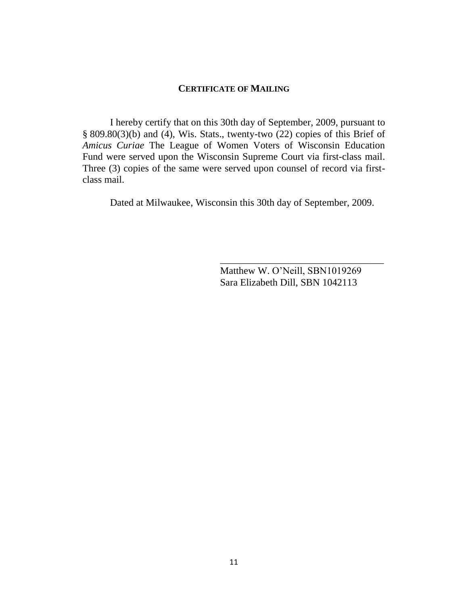## **CERTIFICATE OF MAILING**

I hereby certify that on this 30th day of September, 2009, pursuant to § 809.80(3)(b) and (4), Wis. Stats., twenty-two (22) copies of this Brief of *Amicus Curiae* The League of Women Voters of Wisconsin Education Fund were served upon the Wisconsin Supreme Court via first-class mail. Three (3) copies of the same were served upon counsel of record via firstclass mail.

Dated at Milwaukee, Wisconsin this 30th day of September, 2009.

Matthew W. O"Neill, SBN1019269 Sara Elizabeth Dill, SBN 1042113

\_\_\_\_\_\_\_\_\_\_\_\_\_\_\_\_\_\_\_\_\_\_\_\_\_\_\_\_\_\_\_\_\_